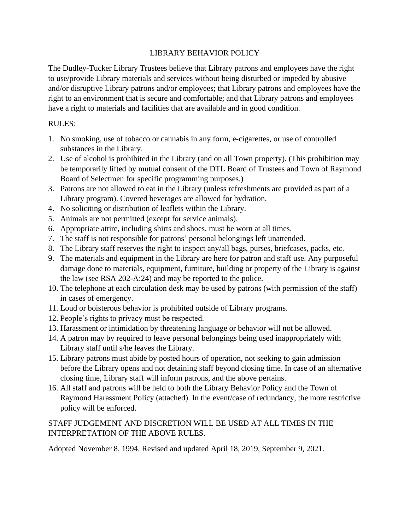## LIBRARY BEHAVIOR POLICY

The Dudley-Tucker Library Trustees believe that Library patrons and employees have the right to use/provide Library materials and services without being disturbed or impeded by abusive and/or disruptive Library patrons and/or employees; that Library patrons and employees have the right to an environment that is secure and comfortable; and that Library patrons and employees have a right to materials and facilities that are available and in good condition.

## RULES:

- 1. No smoking, use of tobacco or cannabis in any form, e-cigarettes, or use of controlled substances in the Library.
- 2. Use of alcohol is prohibited in the Library (and on all Town property). (This prohibition may be temporarily lifted by mutual consent of the DTL Board of Trustees and Town of Raymond Board of Selectmen for specific programming purposes.)
- 3. Patrons are not allowed to eat in the Library (unless refreshments are provided as part of a Library program). Covered beverages are allowed for hydration.
- 4. No soliciting or distribution of leaflets within the Library.
- 5. Animals are not permitted (except for service animals).
- 6. Appropriate attire, including shirts and shoes, must be worn at all times.
- 7. The staff is not responsible for patrons' personal belongings left unattended.
- 8. The Library staff reserves the right to inspect any/all bags, purses, briefcases, packs, etc.
- 9. The materials and equipment in the Library are here for patron and staff use. Any purposeful damage done to materials, equipment, furniture, building or property of the Library is against the law (see RSA 202-A:24) and may be reported to the police.
- 10. The telephone at each circulation desk may be used by patrons (with permission of the staff) in cases of emergency.
- 11. Loud or boisterous behavior is prohibited outside of Library programs.
- 12. People's rights to privacy must be respected.
- 13. Harassment or intimidation by threatening language or behavior will not be allowed.
- 14. A patron may by required to leave personal belongings being used inappropriately with Library staff until s/he leaves the Library.
- 15. Library patrons must abide by posted hours of operation, not seeking to gain admission before the Library opens and not detaining staff beyond closing time. In case of an alternative closing time, Library staff will inform patrons, and the above pertains.
- 16. All staff and patrons will be held to both the Library Behavior Policy and the Town of Raymond Harassment Policy (attached). In the event/case of redundancy, the more restrictive policy will be enforced.

## STAFF JUDGEMENT AND DISCRETION WILL BE USED AT ALL TIMES IN THE INTERPRETATION OF THE ABOVE RULES.

Adopted November 8, 1994. Revised and updated April 18, 2019, September 9, 2021.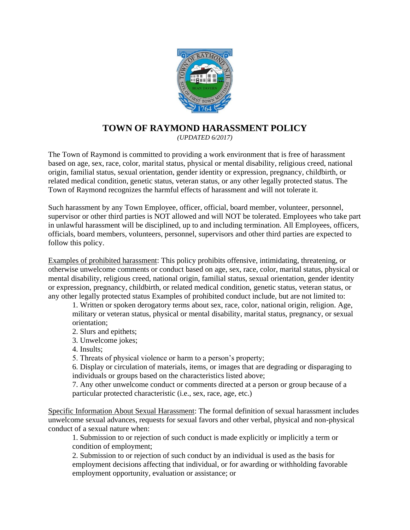

# **TOWN OF RAYMOND HARASSMENT POLICY**

*(UPDATED 6/2017)*

The Town of Raymond is committed to providing a work environment that is free of harassment based on age, sex, race, color, marital status, physical or mental disability, religious creed, national origin, familial status, sexual orientation, gender identity or expression, pregnancy, childbirth, or related medical condition, genetic status, veteran status, or any other legally protected status. The Town of Raymond recognizes the harmful effects of harassment and will not tolerate it.

Such harassment by any Town Employee, officer, official, board member, volunteer, personnel, supervisor or other third parties is NOT allowed and will NOT be tolerated. Employees who take part in unlawful harassment will be disciplined, up to and including termination. All Employees, officers, officials, board members, volunteers, personnel, supervisors and other third parties are expected to follow this policy.

Examples of prohibited harassment: This policy prohibits offensive, intimidating, threatening, or otherwise unwelcome comments or conduct based on age, sex, race, color, marital status, physical or mental disability, religious creed, national origin, familial status, sexual orientation, gender identity or expression, pregnancy, childbirth, or related medical condition, genetic status, veteran status, or any other legally protected status Examples of prohibited conduct include, but are not limited to:

1. Written or spoken derogatory terms about sex, race, color, national origin, religion. Age, military or veteran status, physical or mental disability, marital status, pregnancy, or sexual orientation;

- 2. Slurs and epithets;
- 3. Unwelcome jokes;
- 4. Insults;
- 5. Threats of physical violence or harm to a person's property;

6. Display or circulation of materials, items, or images that are degrading or disparaging to individuals or groups based on the characteristics listed above;

7. Any other unwelcome conduct or comments directed at a person or group because of a particular protected characteristic (i.e., sex, race, age, etc.)

Specific Information About Sexual Harassment: The formal definition of sexual harassment includes unwelcome sexual advances, requests for sexual favors and other verbal, physical and non-physical conduct of a sexual nature when:

1. Submission to or rejection of such conduct is made explicitly or implicitly a term or condition of employment;

2. Submission to or rejection of such conduct by an individual is used as the basis for employment decisions affecting that individual, or for awarding or withholding favorable employment opportunity, evaluation or assistance; or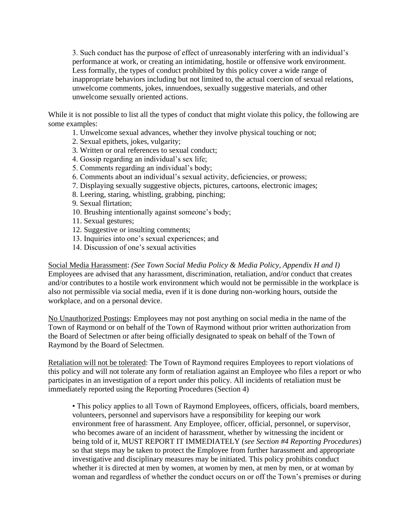3. Such conduct has the purpose of effect of unreasonably interfering with an individual's performance at work, or creating an intimidating, hostile or offensive work environment. Less formally, the types of conduct prohibited by this policy cover a wide range of inappropriate behaviors including but not limited to, the actual coercion of sexual relations, unwelcome comments, jokes, innuendoes, sexually suggestive materials, and other unwelcome sexually oriented actions.

While it is not possible to list all the types of conduct that might violate this policy, the following are some examples:

- 1. Unwelcome sexual advances, whether they involve physical touching or not;
- 2. Sexual epithets, jokes, vulgarity;
- 3. Written or oral references to sexual conduct;
- 4. Gossip regarding an individual's sex life;
- 5. Comments regarding an individual's body;
- 6. Comments about an individual's sexual activity, deficiencies, or prowess;
- 7. Displaying sexually suggestive objects, pictures, cartoons, electronic images;
- 8. Leering, staring, whistling, grabbing, pinching;
- 9. Sexual flirtation;
- 10. Brushing intentionally against someone's body;
- 11. Sexual gestures;
- 12. Suggestive or insulting comments;
- 13. Inquiries into one's sexual experiences; and
- 14. Discussion of one's sexual activities

Social Media Harassment: *(See Town Social Media Policy & Media Policy, Appendix H and I)*  Employees are advised that any harassment, discrimination, retaliation, and/or conduct that creates and/or contributes to a hostile work environment which would not be permissible in the workplace is also not permissible via social media, even if it is done during non-working hours, outside the workplace, and on a personal device.

No Unauthorized Postings: Employees may not post anything on social media in the name of the Town of Raymond or on behalf of the Town of Raymond without prior written authorization from the Board of Selectmen or after being officially designated to speak on behalf of the Town of Raymond by the Board of Selectmen.

Retaliation will not be tolerated: The Town of Raymond requires Employees to report violations of this policy and will not tolerate any form of retaliation against an Employee who files a report or who participates in an investigation of a report under this policy. All incidents of retaliation must be immediately reported using the Reporting Procedures (Section 4)

• This policy applies to all Town of Raymond Employees, officers, officials, board members, volunteers, personnel and supervisors have a responsibility for keeping our work environment free of harassment. Any Employee, officer, official, personnel, or supervisor, who becomes aware of an incident of harassment, whether by witnessing the incident or being told of it, MUST REPORT IT IMMEDIATELY (*see Section #4 Reporting Procedures*) so that steps may be taken to protect the Employee from further harassment and appropriate investigative and disciplinary measures may be initiated. This policy prohibits conduct whether it is directed at men by women, at women by men, at men by men, or at woman by woman and regardless of whether the conduct occurs on or off the Town's premises or during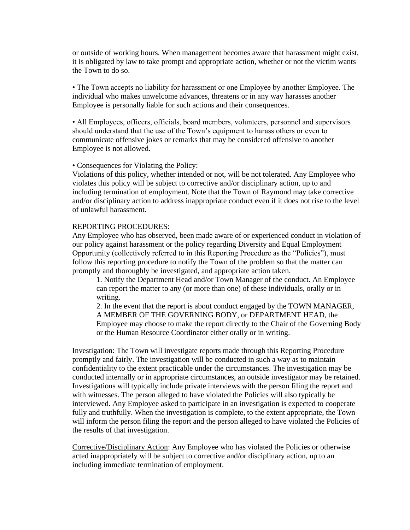or outside of working hours. When management becomes aware that harassment might exist, it is obligated by law to take prompt and appropriate action, whether or not the victim wants the Town to do so.

• The Town accepts no liability for harassment or one Employee by another Employee. The individual who makes unwelcome advances, threatens or in any way harasses another Employee is personally liable for such actions and their consequences.

• All Employees, officers, officials, board members, volunteers, personnel and supervisors should understand that the use of the Town's equipment to harass others or even to communicate offensive jokes or remarks that may be considered offensive to another Employee is not allowed.

#### • Consequences for Violating the Policy:

Violations of this policy, whether intended or not, will be not tolerated. Any Employee who violates this policy will be subject to corrective and/or disciplinary action, up to and including termination of employment. Note that the Town of Raymond may take corrective and/or disciplinary action to address inappropriate conduct even if it does not rise to the level of unlawful harassment.

### REPORTING PROCEDURES:

Any Employee who has observed, been made aware of or experienced conduct in violation of our policy against harassment or the policy regarding Diversity and Equal Employment Opportunity (collectively referred to in this Reporting Procedure as the "Policies"), must follow this reporting procedure to notify the Town of the problem so that the matter can promptly and thoroughly be investigated, and appropriate action taken.

1. Notify the Department Head and/or Town Manager of the conduct. An Employee can report the matter to any (or more than one) of these individuals, orally or in writing.

2. In the event that the report is about conduct engaged by the TOWN MANAGER, A MEMBER OF THE GOVERNING BODY, or DEPARTMENT HEAD, the Employee may choose to make the report directly to the Chair of the Governing Body or the Human Resource Coordinator either orally or in writing.

Investigation: The Town will investigate reports made through this Reporting Procedure promptly and fairly. The investigation will be conducted in such a way as to maintain confidentiality to the extent practicable under the circumstances. The investigation may be conducted internally or in appropriate circumstances, an outside investigator may be retained. Investigations will typically include private interviews with the person filing the report and with witnesses. The person alleged to have violated the Policies will also typically be interviewed. Any Employee asked to participate in an investigation is expected to cooperate fully and truthfully. When the investigation is complete, to the extent appropriate, the Town will inform the person filing the report and the person alleged to have violated the Policies of the results of that investigation.

Corrective/Disciplinary Action: Any Employee who has violated the Policies or otherwise acted inappropriately will be subject to corrective and/or disciplinary action, up to an including immediate termination of employment.